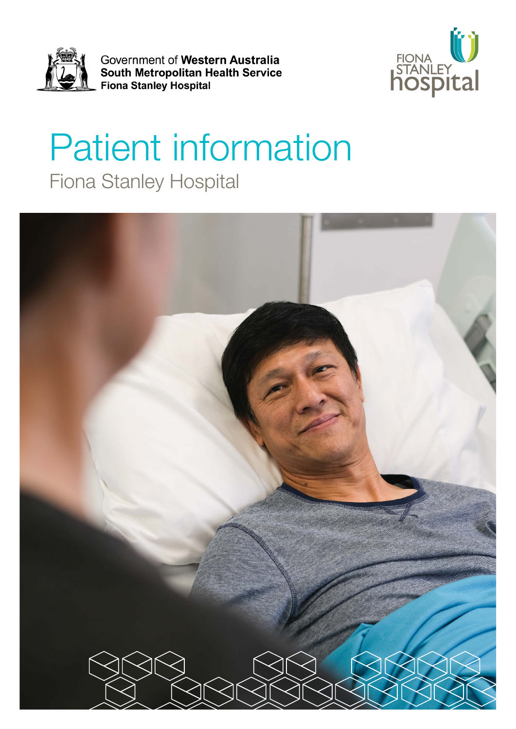

Government of Western Australia South Metropolitan Health Service Fiona Stanley Hospital



# Patient information Fiona Stanley Hospital

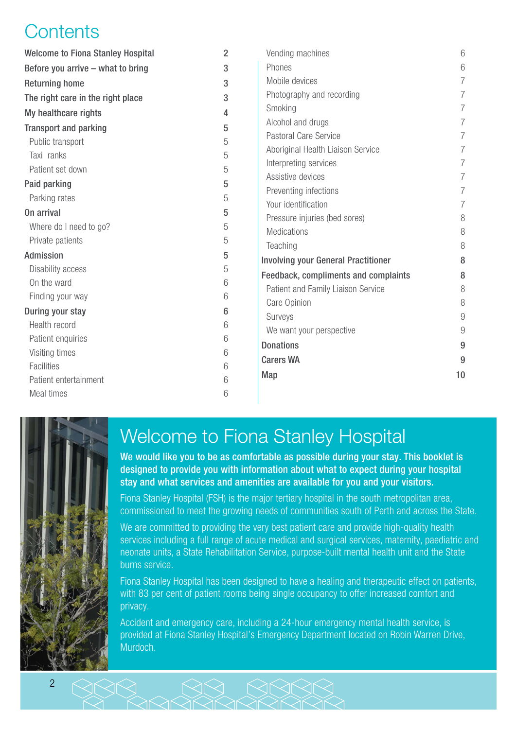## **Contents**

| <b>Welcome to Fiona Stanley Hospital</b> | $\overline{2}$ | Vending machines                            | 6              |
|------------------------------------------|----------------|---------------------------------------------|----------------|
| Before you arrive - what to bring        | 3              | Phones                                      | 6              |
| <b>Returning home</b>                    | 3              | Mobile devices                              | $\overline{7}$ |
| The right care in the right place        | 3              | Photography and recording                   | $\overline{7}$ |
| My healthcare rights                     | 4              | Smoking                                     | 7              |
| <b>Transport and parking</b>             | 5              | Alcohol and drugs                           | $\overline{7}$ |
| Public transport                         | 5              | Pastoral Care Service                       | $\overline{7}$ |
| Taxi ranks                               | 5              | Aboriginal Health Liaison Service           | $\overline{7}$ |
| Patient set down                         | 5              | Interpreting services                       | $\overline{7}$ |
| Paid parking                             | 5              | Assistive devices                           | $\overline{7}$ |
| Parking rates                            | 5              | Preventing infections                       | $\overline{7}$ |
| On arrival                               | 5              | Your identification                         | 7              |
| Where do I need to go?                   | 5              | Pressure injuries (bed sores)               | 8              |
| Private patients                         | 5              | <b>Medications</b>                          | 8              |
| Admission                                | 5              | Teaching                                    | 8              |
| Disability access                        | 5              | <b>Involving your General Practitioner</b>  | 8              |
| On the ward                              | 6              | <b>Feedback, compliments and complaints</b> | 8              |
| Finding your way                         | 6              | Patient and Family Liaison Service          | 8              |
| During your stay                         | 6              | Care Opinion                                | 8              |
| Health record                            | 6              | Surveys                                     | 9              |
|                                          |                | We want your perspective                    | 9              |
| Patient enquiries                        | 6              | <b>Donations</b>                            | 9              |
| Visiting times                           | 6              | <b>Carers WA</b>                            | 9              |
| <b>Facilities</b>                        | 6              | Map                                         | 10             |
| Patient entertainment                    | 6              |                                             |                |
| Meal times                               | 6              |                                             |                |



## Welcome to Fiona Stanley Hospital

We would like you to be as comfortable as possible during your stay. This booklet is designed to provide you with information about what to expect during your hospital stay and what services and amenities are available for you and your visitors.

Fiona Stanley Hospital (FSH) is the major tertiary hospital in the south metropolitan area, commissioned to meet the growing needs of communities south of Perth and across the State.

We are committed to providing the very best patient care and provide high-quality health services including a full range of acute medical and surgical services, maternity, paediatric and neonate units, a State Rehabilitation Service, purpose-built mental health unit and the State burns service.

Fiona Stanley Hospital has been designed to have a healing and therapeutic effect on patients, with 83 per cent of patient rooms being single occupancy to offer increased comfort and privacy.

Accident and emergency care, including a 24-hour emergency mental health service, is provided at Fiona Stanley Hospital's Emergency Department located on Robin Warren Drive, Murdoch.

 $888$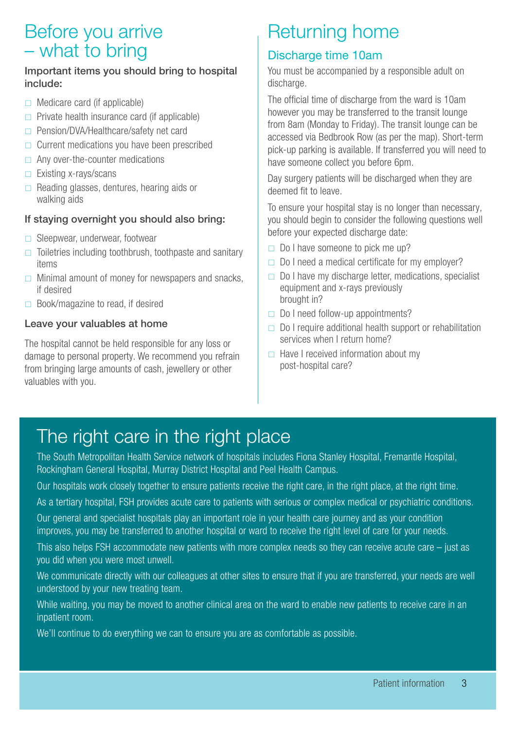## <span id="page-2-0"></span>Before you arrive – what to bring

#### Important items you should bring to hospital include:

- $\Box$  Medicare card (if applicable)
- $\Box$  Private health insurance card (if applicable)
- □ Pension/DVA/Healthcare/safety net card
- $\Box$  Current medications you have been prescribed
- $\Box$  Any over-the-counter medications
- $\Box$  Existing x-rays/scans
- $\Box$  Reading glasses, dentures, hearing aids or walking aids

#### If staying overnight you should also bring:

- $\Box$  Sleepwear, underwear, footwear
- $\Box$  Toiletries including toothbrush, toothpaste and sanitary items
- $\Box$  Minimal amount of money for newspapers and snacks, if desired
- $\Box$  Book/magazine to read, if desired

#### Leave your valuables at home

The hospital cannot be held responsible for any loss or damage to personal property. We recommend you refrain from bringing large amounts of cash, jewellery or other valuables with you.

## Returning home

### Discharge time 10am

You must be accompanied by a responsible adult on discharge.

The official time of discharge from the ward is 10am however you may be transferred to the transit lounge from 8am (Monday to Friday). The transit lounge can be accessed via Bedbrook Row (as per the map). Short-term pick-up parking is available. If transferred you will need to have someone collect you before 6pm.

Day surgery patients will be discharged when they are deemed fit to leave.

To ensure your hospital stay is no longer than necessary, you should begin to consider the following questions well before your expected discharge date:

- $\Box$  Do I have someone to pick me up?
- $\Box$  Do I need a medical certificate for my employer?
- $\Box$  Do I have my discharge letter, medications, specialist equipment and x-rays previously brought in?
- $\Box$  Do I need follow-up appointments?
- $\Box$  Do I require additional health support or rehabilitation services when I return home?
- $\Box$  Have I received information about my post-hospital care?

## The right care in the right place

The South Metropolitan Health Service network of hospitals includes Fiona Stanley Hospital, Fremantle Hospital, Rockingham General Hospital, Murray District Hospital and Peel Health Campus.

Our hospitals work closely together to ensure patients receive the right care, in the right place, at the right time.

As a tertiary hospital, FSH provides acute care to patients with serious or complex medical or psychiatric conditions.

Our general and specialist hospitals play an important role in your health care journey and as your condition improves, you may be transferred to another hospital or ward to receive the right level of care for your needs.

This also helps FSH accommodate new patients with more complex needs so they can receive acute care – just as you did when you were most unwell.

We communicate directly with our colleagues at other sites to ensure that if you are transferred, your needs are well understood by your new treating team.

While waiting, you may be moved to another clinical area on the ward to enable new patients to receive care in an inpatient room.

We'll continue to do everything we can to ensure you are as comfortable as possible.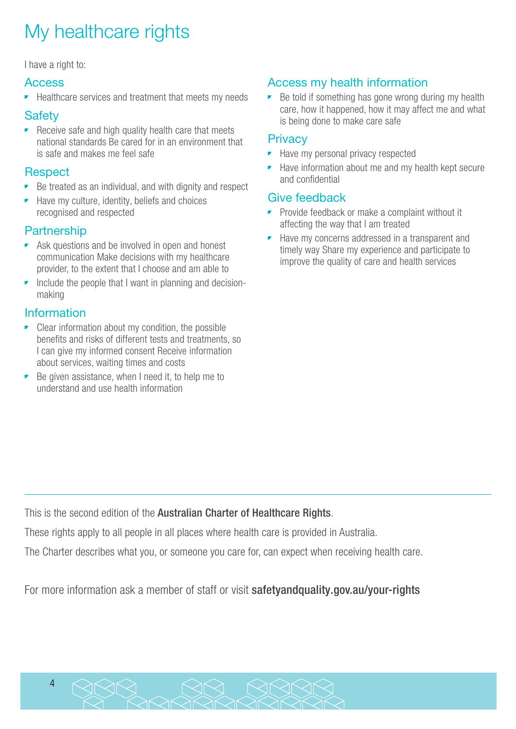## <span id="page-3-0"></span>My healthcare rights

I have a right to:

#### Access

• Healthcare services and treatment that meets my needs

#### **Safety**

• Receive safe and high quality health care that meets national standards Be cared for in an environment that is safe and makes me feel safe

#### **Respect**

- Be treated as an individual, and with dignity and respect
- Have my culture, identity, beliefs and choices recognised and respected

#### **Partnership**

- Ask questions and be involved in open and honest communication Make decisions with my healthcare provider, to the extent that I choose and am able to
- Include the people that I want in planning and decisionmaking

#### Information

- Clear information about my condition, the possible benefits and risks of different tests and treatments, so I can give my informed consent Receive information about services, waiting times and costs
- Be given assistance, when I need it, to help me to understand and use health information

### Access my health information

Be told if something has gone wrong during my health care, how it happened, how it may affect me and what is being done to make care safe

#### **Privacy**

- Have my personal privacy respected
- Have information about me and my health kept secure and confidential

#### Give feedback

- Provide feedback or make a complaint without it affecting the way that I am treated
- Have my concerns addressed in a transparent and timely way Share my experience and participate to improve the quality of care and health services

This is the second edition of the Australian Charter of Healthcare Rights.

These rights apply to all people in all places where health care is provided in Australia.

The Charter describes what you, or someone you care for, can expect when receiving health care.

For more information ask a member of staff or visit safetyandquality.gov.au/your-rights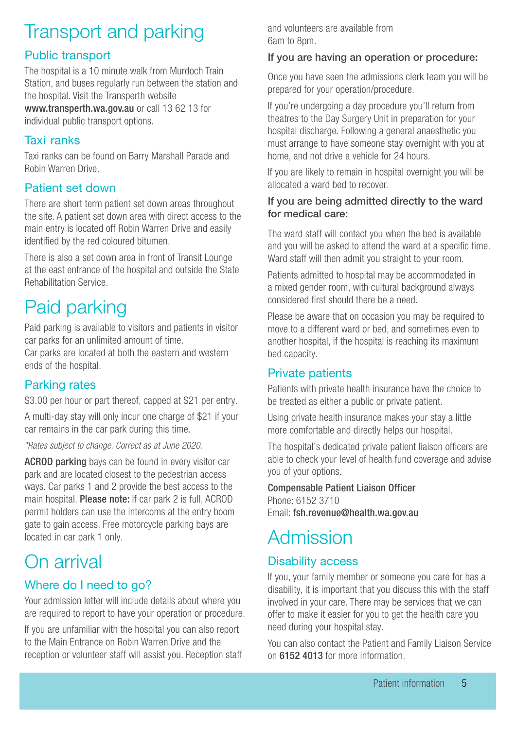## <span id="page-4-0"></span>Transport and parking

### Public transport

The hospital is a 10 minute walk from Murdoch Train Station, and buses regularly run between the station and the hospital. Visit the Transperth website www.transperth.wa.gov.au or call 13 62 13 for

individual public transport options.

### Taxi ranks

Taxi ranks can be found on Barry Marshall Parade and Robin Warren Drive.

### Patient set down

There are short term patient set down areas throughout the site. A patient set down area with direct access to the main entry is located off Robin Warren Drive and easily identified by the red coloured bitumen.

There is also a set down area in front of Transit Lounge at the east entrance of the hospital and outside the State Rehabilitation Service.

## Paid parking

Paid parking is available to visitors and patients in visitor car parks for an unlimited amount of time.

Car parks are located at both the eastern and western ends of the hospital.

### Parking rates

\$3.00 per hour or part thereof, capped at \$21 per entry.

A multi-day stay will only incur one charge of \$21 if your car remains in the car park during this time.

*\*Rates subject to change. Correct as at June 2020.*

ACROD parking bays can be found in every visitor car park and are located closest to the pedestrian access ways. Car parks 1 and 2 provide the best access to the main hospital. Please note: If car park 2 is full, ACROD permit holders can use the intercoms at the entry boom gate to gain access. Free motorcycle parking bays are located in car park 1 only.

## On arrival

### Where do I need to go?

Your admission letter will include details about where you are required to report to have your operation or procedure.

If you are unfamiliar with the hospital you can also report to the Main Entrance on Robin Warren Drive and the reception or volunteer staff will assist you. Reception staff and volunteers are available from 6am to 8pm.

#### If you are having an operation or procedure:

Once you have seen the admissions clerk team you will be prepared for your operation/procedure.

If you're undergoing a day procedure you'll return from theatres to the Day Surgery Unit in preparation for your hospital discharge. Following a general anaesthetic you must arrange to have someone stay overnight with you at home, and not drive a vehicle for 24 hours.

If you are likely to remain in hospital overnight you will be allocated a ward bed to recover.

#### If you are being admitted directly to the ward for medical care:

The ward staff will contact you when the bed is available and you will be asked to attend the ward at a specific time. Ward staff will then admit you straight to your room.

Patients admitted to hospital may be accommodated in a mixed gender room, with cultural background always considered first should there be a need.

Please be aware that on occasion you may be required to move to a different ward or bed, and sometimes even to another hospital, if the hospital is reaching its maximum bed capacity.

#### Private patients

Patients with private health insurance have the choice to be treated as either a public or private patient.

Using private health insurance makes your stay a little more comfortable and directly helps our hospital.

The hospital's dedicated private patient liaison officers are able to check your level of health fund coverage and advise you of your options.

Compensable Patient Liaison Officer Phone: 6152 3710

Email: fsh.revenue@health.wa.gov.au

## Admission

### Disability access

If you, your family member or someone you care for has a disability, it is important that you discuss this with the staff involved in your care. There may be services that we can offer to make it easier for you to get the health care you need during your hospital stay.

You can also contact the Patient and Family Liaison Service on 6152 4013 for more information.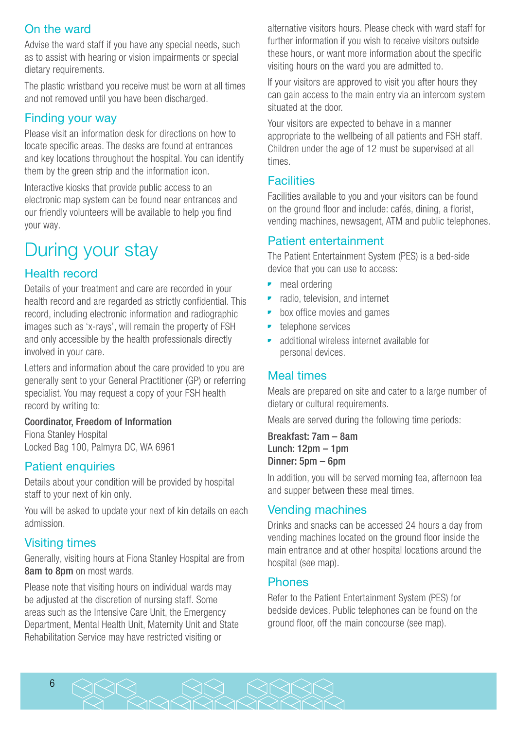### <span id="page-5-0"></span>On the ward

Advise the ward staff if you have any special needs, such as to assist with hearing or vision impairments or special dietary requirements.

The plastic wristband you receive must be worn at all times and not removed until you have been discharged.

#### Finding your way

Please visit an information desk for directions on how to locate specific areas. The desks are found at entrances and key locations throughout the hospital. You can identify them by the green strip and the information icon.

Interactive kiosks that provide public access to an electronic map system can be found near entrances and our friendly volunteers will be available to help you find your way.

## During your stay

#### Health record

Details of your treatment and care are recorded in your health record and are regarded as strictly confidential. This record, including electronic information and radiographic images such as 'x-rays', will remain the property of FSH and only accessible by the health professionals directly involved in your care.

Letters and information about the care provided to you are generally sent to your General Practitioner (GP) or referring specialist. You may request a copy of your FSH health record by writing to:

#### Coordinator, Freedom of Information

Fiona Stanley Hospital Locked Bag 100, Palmyra DC, WA 6961

#### Patient enquiries

Details about your condition will be provided by hospital staff to your next of kin only.

You will be asked to update your next of kin details on each admission.

#### Visiting times

Generally, visiting hours at Fiona Stanley Hospital are from 8am to 8pm on most wards.

Please note that visiting hours on individual wards may be adjusted at the discretion of nursing staff. Some areas such as the Intensive Care Unit, the Emergency Department, Mental Health Unit, Maternity Unit and State Rehabilitation Service may have restricted visiting or

alternative visitors hours. Please check with ward staff for further information if you wish to receive visitors outside these hours, or want more information about the specific visiting hours on the ward you are admitted to.

If your visitors are approved to visit you after hours they can gain access to the main entry via an intercom system situated at the door.

Your visitors are expected to behave in a manner appropriate to the wellbeing of all patients and FSH staff. Children under the age of 12 must be supervised at all times.

#### **Facilities**

Facilities available to you and your visitors can be found on the ground floor and include: cafés, dining, a florist, vending machines, newsagent, ATM and public telephones.

#### Patient entertainment

The Patient Entertainment System (PES) is a bed-side device that you can use to access:

- meal ordering
- radio, television, and internet
- box office movies and games
- **•** telephone services
- additional wireless internet available for personal devices.

#### Meal times

Meals are prepared on site and cater to a large number of dietary or cultural requirements.

Meals are served during the following time periods:

Breakfast: 7am – 8am Lunch: 12pm – 1pm Dinner: 5pm – 6pm

In addition, you will be served morning tea, afternoon tea and supper between these meal times.

#### Vending machines

Drinks and snacks can be accessed 24 hours a day from vending machines located on the ground floor inside the main entrance and at other hospital locations around the hospital (see map).

#### **Phones**

Refer to the Patient Entertainment System (PES) for bedside devices. Public telephones can be found on the ground floor, off the main concourse (see map).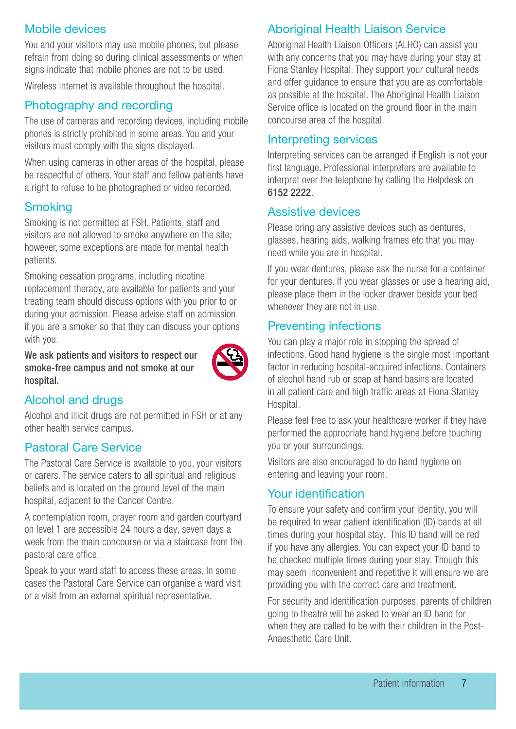#### <span id="page-6-0"></span>Mobile devices

You and your visitors may use mobile phones, but please refrain from doing so during clinical assessments or when signs indicate that mobile phones are not to be used.

Wireless internet is available throughout the hospital.

#### Photography and recording

The use of cameras and recording devices, including mobile phones is strictly prohibited in some areas. You and your visitors must comply with the signs displayed.

When using cameras in other areas of the hospital, please be respectful of others. Your staff and fellow patients have a right to refuse to be photographed or video recorded.

#### **Smoking**

Smoking is not permitted at FSH. Patients, staff and visitors are not allowed to smoke anywhere on the site; however, some exceptions are made for mental health patients.

Smoking cessation programs, including nicotine replacement therapy, are available for patients and your treating team should discuss options with you prior to or during your admission. Please advise staff on admission if you are a smoker so that they can discuss your options with you.

We ask patients and visitors to respect our smoke-free campus and not smoke at our hospital.



#### Alcohol and drugs

Alcohol and illicit drugs are not permitted in FSH or at any other health service campus.

#### Pastoral Care Service

The Pastoral Care Service is available to you, your visitors or carers. The service caters to all spiritual and religious beliefs and is located on the ground level of the main hospital, adjacent to the Cancer Centre.

A contemplation room, prayer room and garden courtyard on level 1 are accessible 24 hours a day, seven days a week from the main concourse or via a staircase from the pastoral care office.

Speak to your ward staff to access these areas. In some cases the Pastoral Care Service can organise a ward visit or a visit from an external spiritual representative.

### Aboriginal Health Liaison Service

Aboriginal Health Liaison Officers (ALHO) can assist you with any concerns that you may have during your stay at Fiona Stanley Hospital. They support your cultural needs and offer guidance to ensure that you are as comfortable as possible at the hospital. The Aboriginal Health Liaison Service office is located on the ground floor in the main concourse area of the hospital.

#### Interpreting services

Interpreting services can be arranged if English is not your first language. Professional interpreters are available to interpret over the telephone by calling the Helpdesk on 6152 2222.

#### Assistive devices

Please bring any assistive devices such as dentures, glasses, hearing aids, walking frames etc that you may need while you are in hospital.

If you wear dentures, please ask the nurse for a container for your dentures. If you wear glasses or use a hearing aid, please place them in the locker drawer beside your bed whenever they are not in use.

#### Preventing infections

You can play a major role in stopping the spread of infections. Good hand hygiene is the single most important factor in reducing hospital-acquired infections. Containers of alcohol hand rub or soap at hand basins are located in all patient care and high traffic areas at Fiona Stanley Hospital.

Please feel free to ask your healthcare worker if they have performed the appropriate hand hygiene before touching you or your surroundings.

Visitors are also encouraged to do hand hygiene on entering and leaving your room.

#### Your identification

To ensure your safety and confirm your identity, you will be required to wear patient identification (ID) bands at all times during your hospital stay. This ID band will be red if you have any allergies. You can expect your ID band to be checked multiple times during your stay. Though this may seem inconvenient and repetitive it will ensure we are providing you with the correct care and treatment.

For security and identification purposes, parents of children going to theatre will be asked to wear an ID band for when they are called to be with their children in the Post-Anaesthetic Care Unit.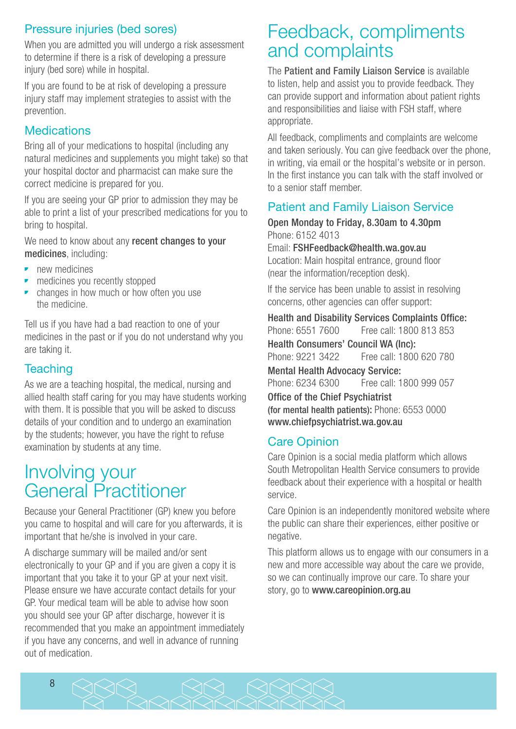### <span id="page-7-0"></span>Pressure injuries (bed sores)

When you are admitted you will undergo a risk assessment to determine if there is a risk of developing a pressure injury (bed sore) while in hospital.

If you are found to be at risk of developing a pressure injury staff may implement strategies to assist with the prevention.

### **Medications**

Bring all of your medications to hospital (including any natural medicines and supplements you might take) so that your hospital doctor and pharmacist can make sure the correct medicine is prepared for you.

If you are seeing your GP prior to admission they may be able to print a list of your prescribed medications for you to bring to hospital.

We need to know about any recent changes to your medicines, including:

- **•** new medicines
- medicines you recently stopped
- changes in how much or how often you use the medicine.

Tell us if you have had a bad reaction to one of your medicines in the past or if you do not understand why you are taking it.

### **Teaching**

As we are a teaching hospital, the medical, nursing and allied health staff caring for you may have students working with them. It is possible that you will be asked to discuss details of your condition and to undergo an examination by the students; however, you have the right to refuse examination by students at any time.

## Involving your General Practitioner

Because your General Practitioner (GP) knew you before you came to hospital and will care for you afterwards, it is important that he/she is involved in your care.

A discharge summary will be mailed and/or sent electronically to your GP and if you are given a copy it is important that you take it to your GP at your next visit. Please ensure we have accurate contact details for your GP. Your medical team will be able to advise how soon you should see your GP after discharge, however it is recommended that you make an appointment immediately if you have any concerns, and well in advance of running out of medication.

## Feedback, compliments and complaints

The Patient and Family Liaison Service is available to listen, help and assist you to provide feedback. They can provide support and information about patient rights and responsibilities and liaise with FSH staff, where appropriate.

All feedback, compliments and complaints are welcome and taken seriously. You can give feedback over the phone, in writing, via email or the hospital's website or in person. In the first instance you can talk with the staff involved or to a senior staff member.

### Patient and Family Liaison Service

Open Monday to Friday, 8.30am to 4.30pm Phone: 6152 4013

Email: FSHFeedback@health.wa.gov.au Location: Main hospital entrance, ground floor (near the information/reception desk).

If the service has been unable to assist in resolving concerns, other agencies can offer support:

Health and Disability Services Complaints Office: Phone: 6551 7600 Free call: 1800 813 853 Health Consumers' Council WA (Inc): Phone: 9221 3422 Free call: 1800 620 780 Mental Health Advocacy Service: Phone: 6234 6300 Free call: 1800 999 057 Office of the Chief Psychiatrist (for mental health patients): Phone: 6553 0000 www.chiefpsychiatrist.wa.gov.au

### Care Opinion

Care Opinion is a social media platform which allows South Metropolitan Health Service consumers to provide feedback about their experience with a hospital or health service.

Care Opinion is an independently monitored website where the public can share their experiences, either positive or negative.

This platform allows us to engage with our consumers in a new and more accessible way about the care we provide, so we can continually improve our care. To share your story, go to www.careopinion.org.au

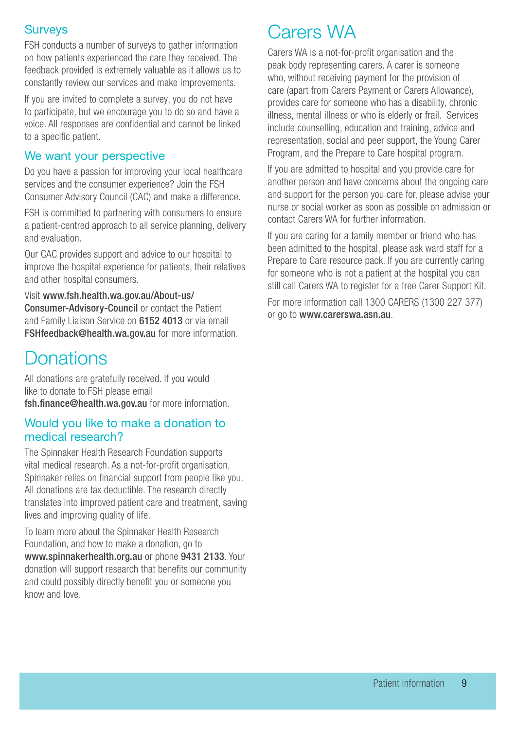#### <span id="page-8-0"></span>**Surveys**

FSH conducts a number of surveys to gather information on how patients experienced the care they received. The feedback provided is extremely valuable as it allows us to constantly review our services and make improvements.

If you are invited to complete a survey, you do not have to participate, but we encourage you to do so and have a voice. All responses are confidential and cannot be linked to a specific patient.

#### We want your perspective

Do you have a passion for improving your local healthcare services and the consumer experience? Join the FSH Consumer Advisory Council (CAC) and make a difference.

FSH is committed to partnering with consumers to ensure a patient-centred approach to all service planning, delivery and evaluation.

Our CAC provides support and advice to our hospital to improve the hospital experience for patients, their relatives and other hospital consumers.

Visit www.fsh.health.wa.gov.au/About-us/ Consumer-Advisory-Council or contact the Patient and Family Liaison Service on 6152 4013 or via email FSHfeedback@health.wa.gov.au for more information.

## **Donations**

All donations are gratefully received. If you would like to donate to FSH please email fsh.finance@health.wa.gov.au for more information.

#### Would you like to make a donation to medical research?

The Spinnaker Health Research Foundation supports vital medical research. As a not-for-profit organisation, Spinnaker relies on financial support from people like you. All donations are tax deductible. The research directly translates into improved patient care and treatment, saving lives and improving quality of life.

To learn more about the Spinnaker Health Research Foundation, and how to make a donation, go to www.spinnakerhealth.org.au or phone 9431 2133. Your donation will support research that benefits our community and could possibly directly benefit you or someone you know and love.

## Carers WA

Carers WA is a not-for-profit organisation and the peak body representing carers. A carer is someone who, without receiving payment for the provision of care (apart from Carers Payment or Carers Allowance), provides care for someone who has a disability, chronic illness, mental illness or who is elderly or frail. Services include counselling, education and training, advice and representation, social and peer support, the Young Carer Program, and the Prepare to Care hospital program.

If you are admitted to hospital and you provide care for another person and have concerns about the ongoing care and support for the person you care for, please advise your nurse or social worker as soon as possible on admission or contact Carers WA for further information.

If you are caring for a family member or friend who has been admitted to the hospital, please ask ward staff for a Prepare to Care resource pack. If you are currently caring for someone who is not a patient at the hospital you can still call Carers WA to register for a free Carer Support Kit.

For more information call 1300 CARERS (1300 227 377) or go to www.carerswa.asn.au.